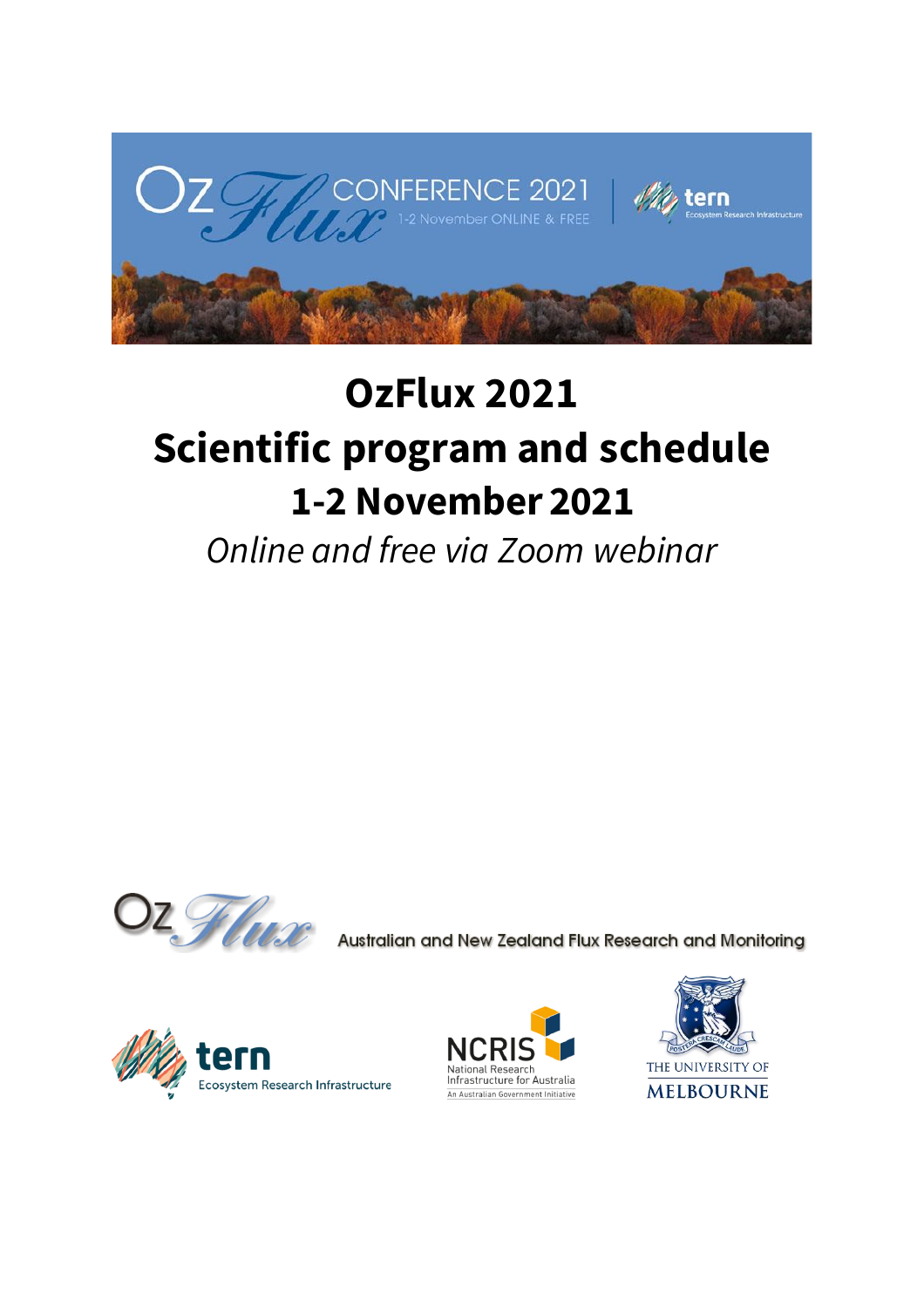

# **OzFlux 2021 Scientific program and schedule 1-2 November 2021**

*Online and free via Zoom webinar*



Australian and New Zealand Flux Research and Monitoring





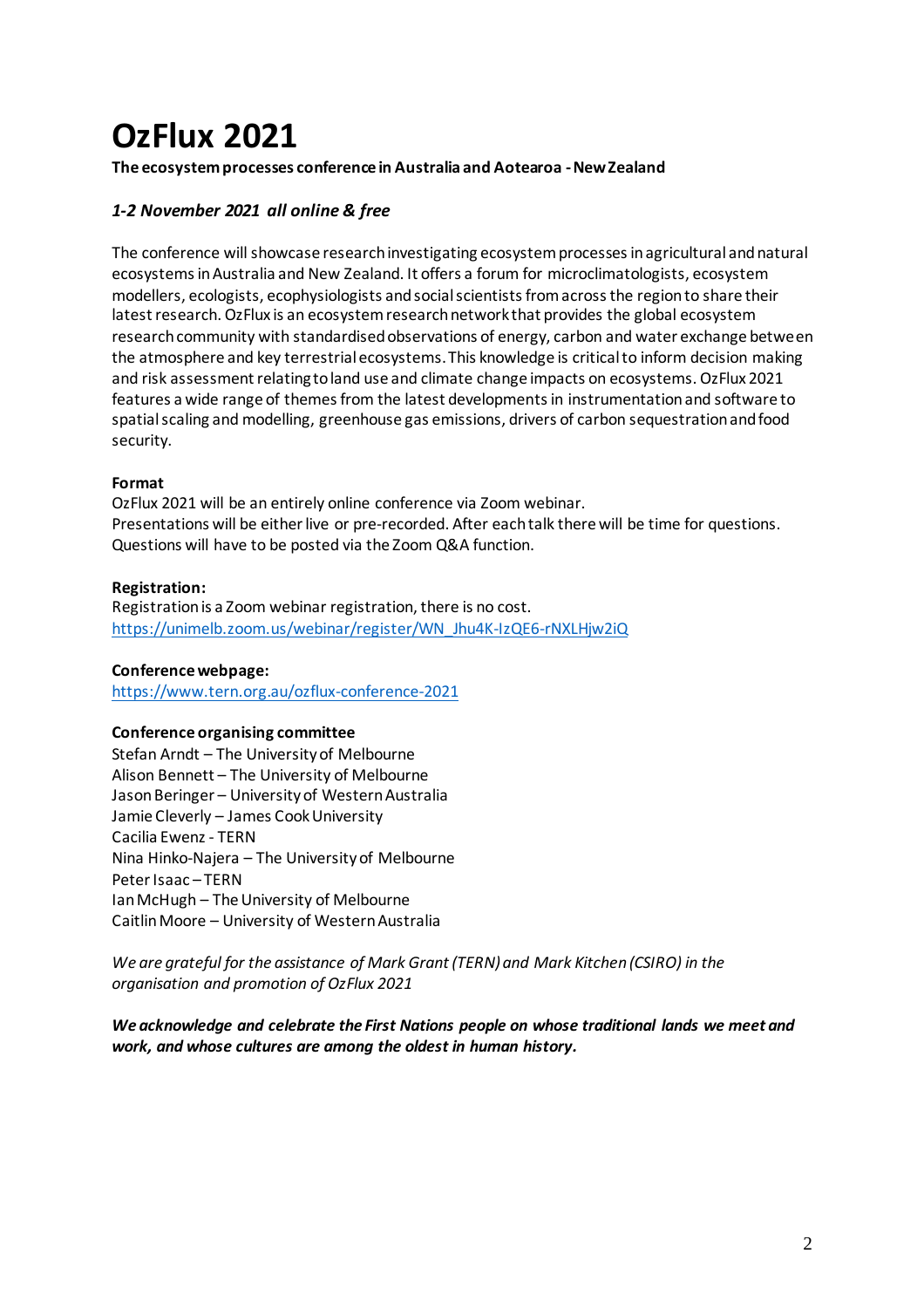## **OzFlux 2021**

#### **The ecosystem processes conference in Australia and Aotearoa -New Zealand**

#### *1-2 November 2021 all online & free*

The conference will showcase research investigating ecosystem processes in agricultural and natural ecosystems in Australia and New Zealand. It offers a forum for microclimatologists, ecosystem modellers, ecologists, ecophysiologists and social scientists from across the region to share their latest research. OzFlux is an ecosystem research network that provides the global ecosystem research community with standardised observations of energy, carbon and water exchange between the atmosphere and key terrestrial ecosystems. This knowledge is critical to inform decision making and risk assessment relating to land use and climate change impacts on ecosystems. OzFlux 2021 features a wide range of themes from the latest developments in instrumentation and software to spatial scaling and modelling, greenhouse gas emissions, drivers of carbon sequestration and food security.

#### **Format**

OzFlux 2021 will be an entirely online conference via Zoom webinar. Presentations will be either live or pre-recorded. After each talk there will be time for questions. Questions will have to be posted via the Zoom Q&A function.

#### **Registration:**

Registration is a Zoom webinar registration, there is no cost. [https://unimelb.zoom.us/webinar/register/WN\\_Jhu4K-IzQE6-rNXLHjw2iQ](https://unimelb.zoom.us/webinar/register/WN_Jhu4K-IzQE6-rNXLHjw2iQ)

#### **Conference webpage:**

<https://www.tern.org.au/ozflux-conference-2021>

#### **Conference organising committee**

Stefan Arndt – The University of Melbourne Alison Bennett – The University of Melbourne Jason Beringer – University of Western Australia Jamie Cleverly – James Cook University Cacilia Ewenz - TERN Nina Hinko-Najera – The University of Melbourne Peter Isaac – TERN Ian McHugh – The University of Melbourne Caitlin Moore – University of Western Australia

*We are grateful for the assistance of Mark Grant (TERN) and Mark Kitchen (CSIRO) in the organisation and promotion of OzFlux 2021*

*We acknowledge and celebrate the First Nations people on whose traditional lands we meet and work, and whose cultures are among the oldest in human history.*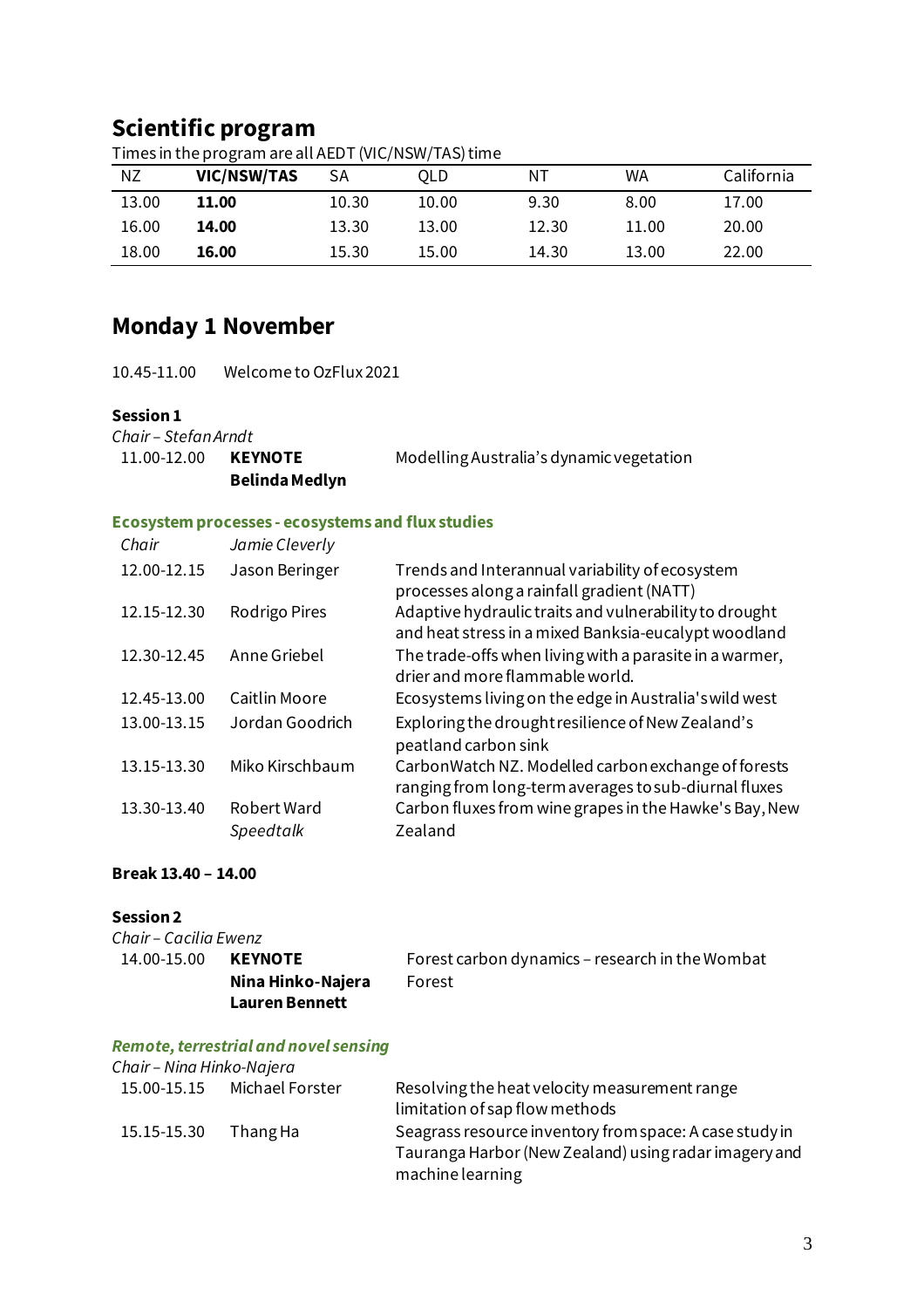### **Scientific program**

| <b>NZ</b> | VIC/NSW/TAS | SА    | OLD   | NΤ    | WA    | California |
|-----------|-------------|-------|-------|-------|-------|------------|
| 13.00     | 11.00       | 10.30 | 10.00 | 9.30  | 8.00  | 17.00      |
| 16.00     | 14.00       | 13.30 | 13.00 | 12.30 | 11.00 | 20.00      |
| 18.00     | 16.00       | 15.30 | 15.00 | 14.30 | 13.00 | 22.00      |

Times in the program are all AEDT (VIC/NSW/TAS) time

## **Monday 1 November**

10.45-11.00 Welcome to OzFlux 2021

#### **Session 1**

| Chair - Stefan Arndt |                       |                                          |
|----------------------|-----------------------|------------------------------------------|
| 11.00-12.00          | <b>KEYNOTE</b>        | Modelling Australia's dynamic vegetation |
|                      | <b>Belinda Medlyn</b> |                                          |

#### **Ecosystem processes - ecosystems and flux studies**

| Chair       | Jamie Cleverly  |                                                                                                                |
|-------------|-----------------|----------------------------------------------------------------------------------------------------------------|
| 12.00-12.15 | Jason Beringer  | Trends and Interannual variability of ecosystem<br>processes along a rainfall gradient (NATT)                  |
| 12.15-12.30 | Rodrigo Pires   | Adaptive hydraulic traits and vulnerability to drought<br>and heat stress in a mixed Banksia-eucalypt woodland |
| 12.30-12.45 | Anne Griebel    | The trade-offs when living with a parasite in a warmer,<br>drier and more flammable world.                     |
| 12.45-13.00 | Caitlin Moore   | Ecosystems living on the edge in Australia's wild west                                                         |
| 13.00-13.15 | Jordan Goodrich | Exploring the drought resilience of New Zealand's<br>peatland carbon sink                                      |
| 13.15-13.30 | Miko Kirschbaum | CarbonWatch NZ. Modelled carbon exchange of forests<br>ranging from long-term averages to sub-diurnal fluxes   |
| 13.30-13.40 | Robert Ward     | Carbon fluxes from wine grapes in the Hawke's Bay, New                                                         |
|             | Speedtalk       | Zealand                                                                                                        |

#### **Break 13.40 – 14.00**

#### **Session 2**

| Chair - Cacilia Ewenz |                   |                                                 |
|-----------------------|-------------------|-------------------------------------------------|
| 14.00-15.00           | <b>KEYNOTE</b>    | Forest carbon dynamics – research in the Wombat |
|                       | Nina Hinko-Najera | Forest                                          |
|                       | Lauren Bennett    |                                                 |

#### *Remote, terrestrial and novel sensing*

| Chair – Nina Hinko-Najera |                 |                                                                                                                                      |
|---------------------------|-----------------|--------------------------------------------------------------------------------------------------------------------------------------|
| 15.00-15.15               | Michael Forster | Resolving the heat velocity measurement range<br>limitation of sap flow methods                                                      |
| 15.15-15.30               | Thang Ha        | Seagrass resource inventory from space: A case study in<br>Tauranga Harbor (New Zealand) using radar imagery and<br>machine learning |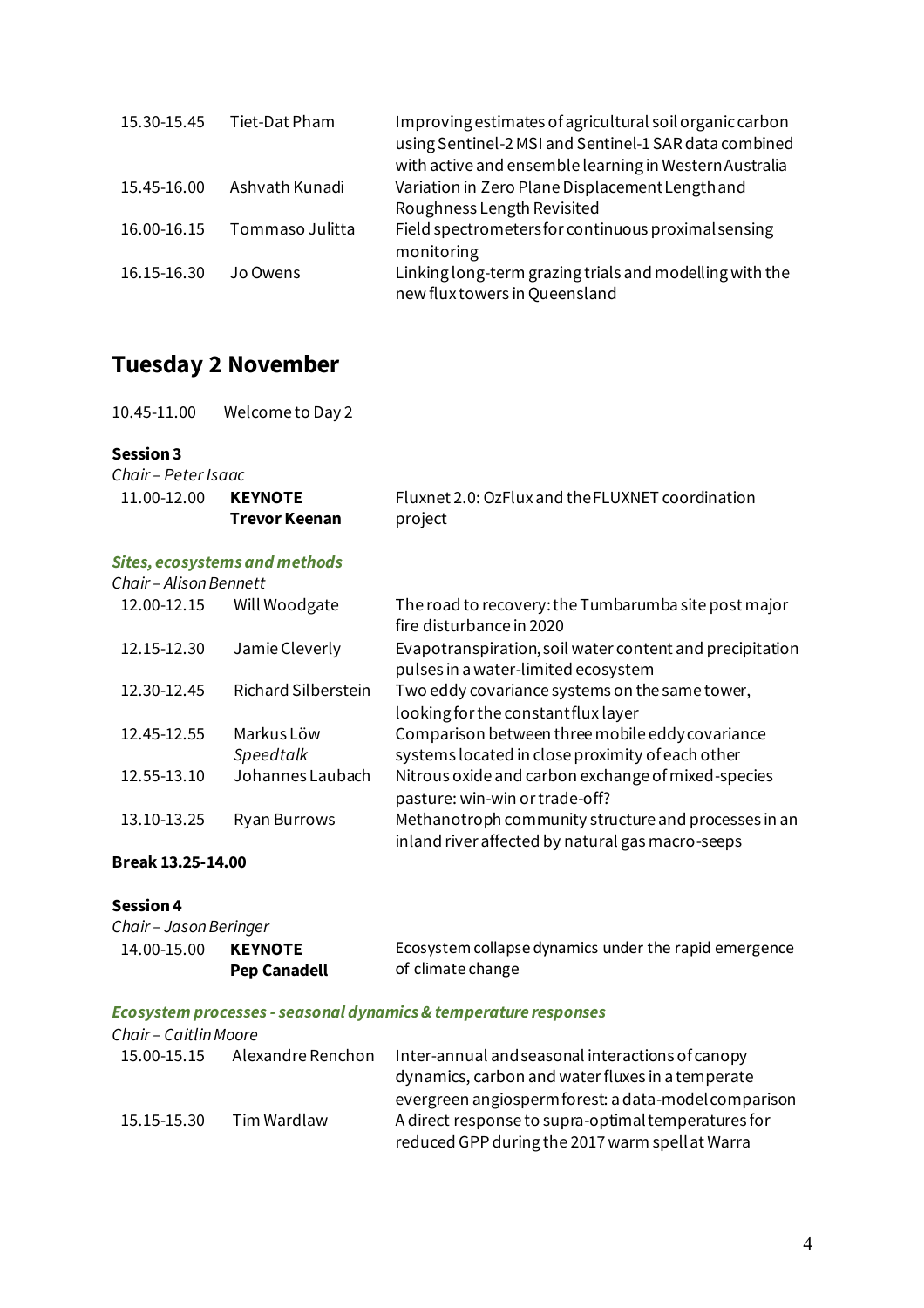| 15.30-15.45 | Tiet-Dat Pham   | Improving estimates of agricultural soil organic carbon<br>using Sentinel-2 MSI and Sentinel-1 SAR data combined<br>with active and ensemble learning in Western Australia |
|-------------|-----------------|----------------------------------------------------------------------------------------------------------------------------------------------------------------------------|
| 15.45-16.00 | Ashvath Kunadi  | Variation in Zero Plane Displacement Length and<br>Roughness Length Revisited                                                                                              |
| 16.00-16.15 | Tommaso Julitta | Field spectrometers for continuous proximal sensing<br>monitoring                                                                                                          |
| 16.15-16.30 | Jo Owens        | Linking long-term grazing trials and modelling with the<br>new flux towers in Queensland                                                                                   |

## **Tuesday 2 November**

| 10.45-11.00 | Welcome to Day 2 |
|-------------|------------------|
|-------------|------------------|

#### **Session 3**

*Chair – Peter Isaac*

| 11.00-12.00 | <b>KEYNOTE</b> | Fluxnet 2.0: OzFlux and the FLUXNET coordination |
|-------------|----------------|--------------------------------------------------|
|             | Trevor Keenan  | project                                          |

#### *Sites, ecosystems and methods*

| Chair - Alison Bennett |                            |                                                                                                          |
|------------------------|----------------------------|----------------------------------------------------------------------------------------------------------|
| 12.00-12.15            | Will Woodgate              | The road to recovery: the Tumbarumba site post major<br>fire disturbance in 2020                         |
| 12.15-12.30            | Jamie Cleverly             | Evapotranspiration, soil water content and precipitation<br>pulses in a water-limited ecosystem          |
| 12.30-12.45            | <b>Richard Silberstein</b> | Two eddy covariance systems on the same tower,<br>looking for the constant flux layer                    |
| 12.45-12.55            | Markus Löw<br>Speedtalk    | Comparison between three mobile eddy covariance<br>systems located in close proximity of each other      |
| 12.55-13.10            | Johannes Laubach           | Nitrous oxide and carbon exchange of mixed-species<br>pasture: win-win or trade-off?                     |
| 13.10-13.25            | Ryan Burrows               | Methanotroph community structure and processes in an<br>inland river affected by natural gas macro-seeps |

#### **Break 13.25-14.00**

#### **Session 4**

| Chair - Jason Beringer |                     |                                                       |
|------------------------|---------------------|-------------------------------------------------------|
| 14.00-15.00            | <b>KEYNOTE</b>      | Ecosystem collapse dynamics under the rapid emergence |
|                        | <b>Pep Canadell</b> | of climate change                                     |

#### *Ecosystem processes - seasonal dynamics & temperature responses*

| Chair - Caitlin Moore |                   |                                                      |
|-----------------------|-------------------|------------------------------------------------------|
| 15.00-15.15           | Alexandre Renchon | Inter-annual and seasonal interactions of canopy     |
|                       |                   | dynamics, carbon and water fluxes in a temperate     |
|                       |                   | evergreen angiosperm forest: a data-model comparison |
| 15.15-15.30           | Tim Wardlaw       | A direct response to supra-optimal temperatures for  |
|                       |                   | reduced GPP during the 2017 warm spell at Warra      |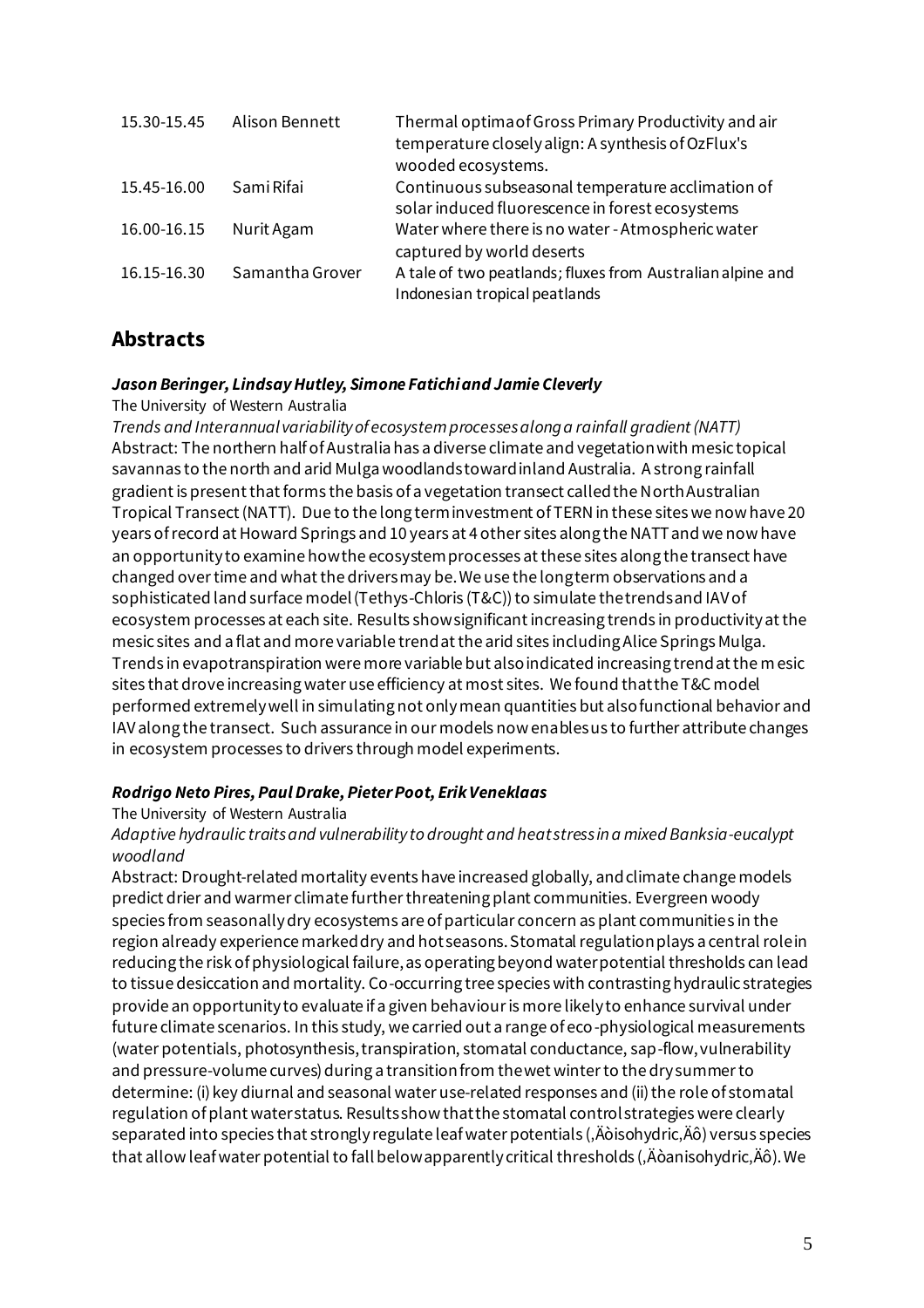| 15.30-15.45 | Alison Bennett  | Thermal optima of Gross Primary Productivity and air<br>temperature closely align: A synthesis of OzFlux's |
|-------------|-----------------|------------------------------------------------------------------------------------------------------------|
|             |                 | wooded ecosystems.                                                                                         |
| 15.45-16.00 | Sami Rifai      | Continuous subseasonal temperature acclimation of<br>solar induced fluorescence in forest ecosystems       |
| 16.00-16.15 | Nurit Agam      | Water where there is no water - Atmospheric water<br>captured by world deserts                             |
| 16.15-16.30 | Samantha Grover | A tale of two peatlands; fluxes from Australian alpine and<br>Indonesian tropical peatlands                |

## **Abstracts**

#### *Jason Beringer, Lindsay Hutley, Simone Fatichi and Jamie Cleverly*

#### The University of Western Australia

*Trends and Interannual variability of ecosystem processes along a rainfall gradient (NATT)* Abstract: The northern half of Australia has a diverse climate and vegetation with mesic topical savannas to the north and arid Mulga woodlands toward inland Australia. A strong rainfall gradient is present that forms the basis of a vegetation transect called the North Australian Tropical Transect (NATT). Due to the long term investment of TERN in these sites we now have 20 years of record at Howard Springs and 10 years at 4 other sites along the NATT and we now have an opportunity to examine how the ecosystem processes at these sites along the transect have changed over time and what the drivers may be. We use the long term observations and a sophisticated land surface model (Tethys-Chloris (T&C)) to simulate the trends and IAV of ecosystem processes at each site. Results show significant increasing trends in productivity at the mesic sites and a flat and more variable trend at the arid sites including Alice Springs Mulga. Trends in evapotranspiration were more variable but also indicated increasing trend at the mesic sites that drove increasing water use efficiency at most sites. We found that the T&C model performed extremely well in simulating not only mean quantities but also functional behavior and IAV along the transect. Such assurance in our models now enables us to further attribute changes in ecosystem processes to drivers through model experiments.

#### *Rodrigo Neto Pires, Paul Drake, Pieter Poot, Erik Veneklaas*

#### The University of Western Australia

#### *Adaptive hydraulic traits and vulnerability to drought and heat stress in a mixed Banksia-eucalypt woodland*

Abstract: Drought-related mortality events have increased globally, and climate change models predict drier and warmer climate further threatening plant communities. Evergreen woody species from seasonally dry ecosystems are of particular concern as plant communities in the region already experience marked dry and hot seasons. Stomatal regulation plays a central role in reducing the risk of physiological failure, as operating beyond water potential thresholds can lead to tissue desiccation and mortality. Co-occurring tree species with contrasting hydraulic strategies provide an opportunity to evaluate if a given behaviour is more likely to enhance survival under future climate scenarios. In this study, we carried out a range of eco-physiological measurements (water potentials, photosynthesis, transpiration, stomatal conductance, sap-flow, vulnerability and pressure-volume curves) during a transition from the wet winter to the dry summer to determine: (i) key diurnal and seasonal water use-related responses and (ii) the role of stomatal regulation of plant water status. Results show that the stomatal control strategies were clearly separated into species that strongly regulate leaf water potentials ( $\ddot{A}$ òisohydric, $\ddot{A}$ ô) versus species that allow leaf water potential to fall below apparently critical thresholds ( $\ddot{A}$ òanisohydric, $\ddot{A}$ ô). We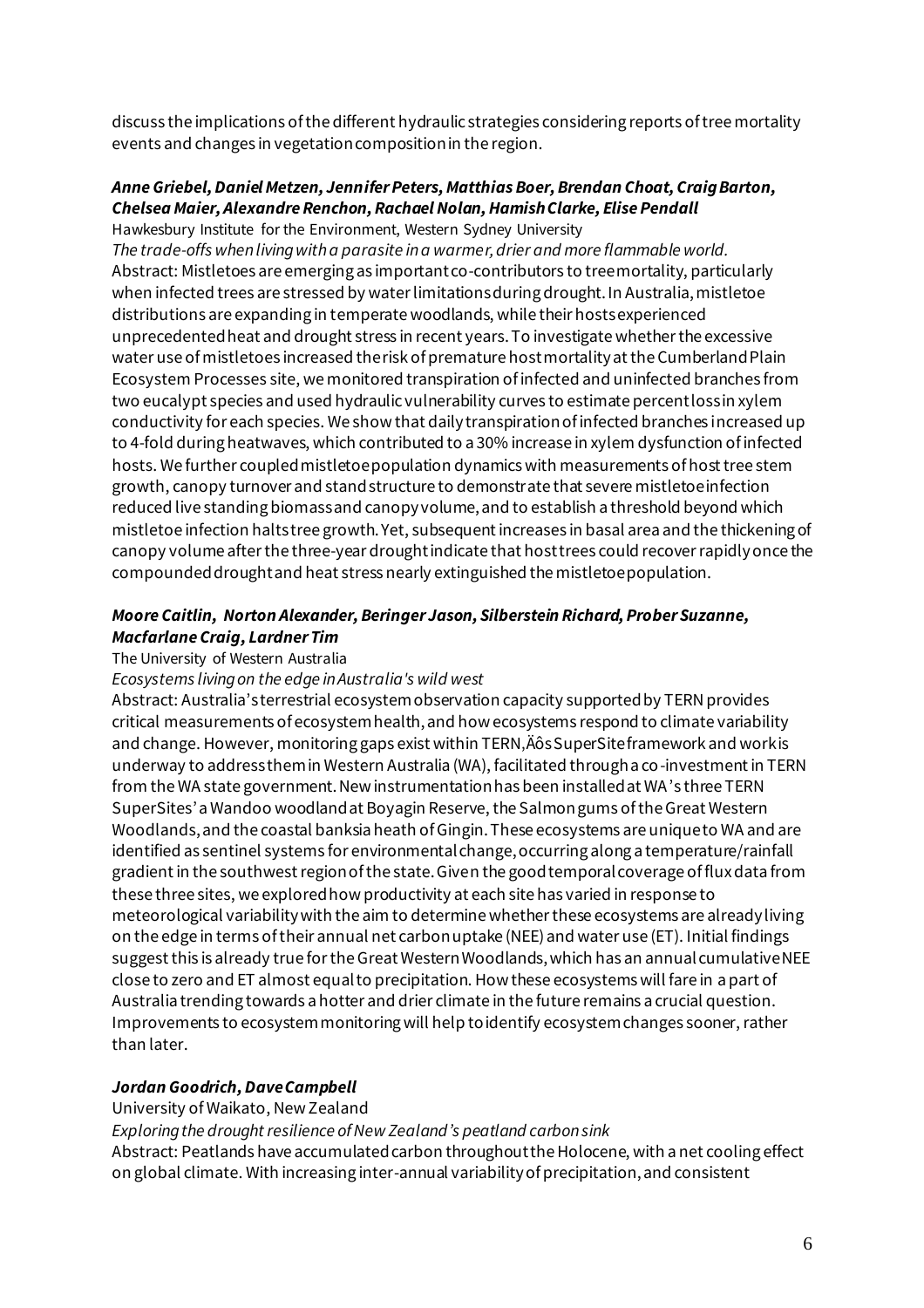discuss the implications of the different hydraulic strategies considering reports of tree mortality events and changes in vegetation composition in the region.

#### *Anne Griebel, Daniel Metzen, Jennifer Peters, Matthias Boer, Brendan Choat, Craig Barton, Chelsea Maier, Alexandre Renchon, Rachael Nolan, Hamish Clarke, Elise Pendall*

Hawkesbury Institute for the Environment, Western Sydney University

*The trade-offs when living with a parasite in a warmer, drier and more flammable world.* Abstract: Mistletoes are emerging as important co-contributors to tree mortality, particularly when infected trees are stressed by water limitations during drought. In Australia, mistletoe distributions are expanding in temperate woodlands, while their hosts experienced unprecedented heat and drought stress in recent years. To investigate whether the excessive water use of mistletoes increased the risk of premature host mortality at the Cumberland Plain Ecosystem Processes site, we monitored transpiration of infected and uninfected branches from two eucalypt species and used hydraulic vulnerability curves to estimate percent loss in xylem conductivity for each species. We show that daily transpiration of infected branches increased up to 4-fold during heatwaves, which contributed to a 30% increase in xylem dysfunction of infected hosts. We further coupled mistletoe population dynamics with measurements of host tree stem growth, canopy turnover and stand structure to demonstrate that severe mistletoe infection reduced live standing biomass and canopy volume, and to establish a threshold beyond which mistletoe infection halts tree growth. Yet, subsequent increases in basal area and the thickening of canopy volume after the three-year drought indicate that host trees could recover rapidly once the compounded drought and heat stress nearly extinguished the mistletoe population.

#### *Moore Caitlin, Norton Alexander, Beringer Jason, Silberstein Richard, Prober Suzanne, Macfarlane Craig, Lardner Tim*

#### The University of Western Australia

#### *Ecosystems living on the edge in Australia's wild west*

Abstract: Australia's terrestrial ecosystem observation capacity supported by TERN provides critical measurements of ecosystem health, and how ecosystems respond to climate variability and change. However, monitoring gaps exist within TERN, Äôs SuperSite framework and work is underway to address them in Western Australia (WA), facilitated through a co-investment in TERN from the WA state government. New instrumentation has been installed at WA's three TERN SuperSites'a Wandoo woodland at Boyagin Reserve, the Salmon gums of theGreat Western Woodlands, and the coastal banksia heath of Gingin. These ecosystems are unique to WA and are identified as sentinel systems for environmental change, occurring along a temperature/rainfall gradient in the southwest region of the state. Given the good temporal coverage of flux data from these three sites, we explored how productivity at each site has varied in response to meteorological variability with the aim to determine whether these ecosystems are already living on the edge in terms of their annual net carbon uptake (NEE) and water use (ET). Initial findings suggest this is already true for the Great Western Woodlands, which has an annual cumulative NEE close to zero and ET almost equal to precipitation. How these ecosystems will fare in a part of Australia trending towards a hotter and drier climate in the future remains a crucial question. Improvements to ecosystem monitoring will help to identify ecosystem changes sooner, rather than later.

#### *Jordan Goodrich, Dave Campbell*

#### University of Waikato, New Zealand

*Exploring the drought resilience of New Zealand's peatland carbon sink* Abstract: Peatlands have accumulated carbon throughout the Holocene, with a net cooling effect on global climate. With increasing inter-annual variability of precipitation, and consistent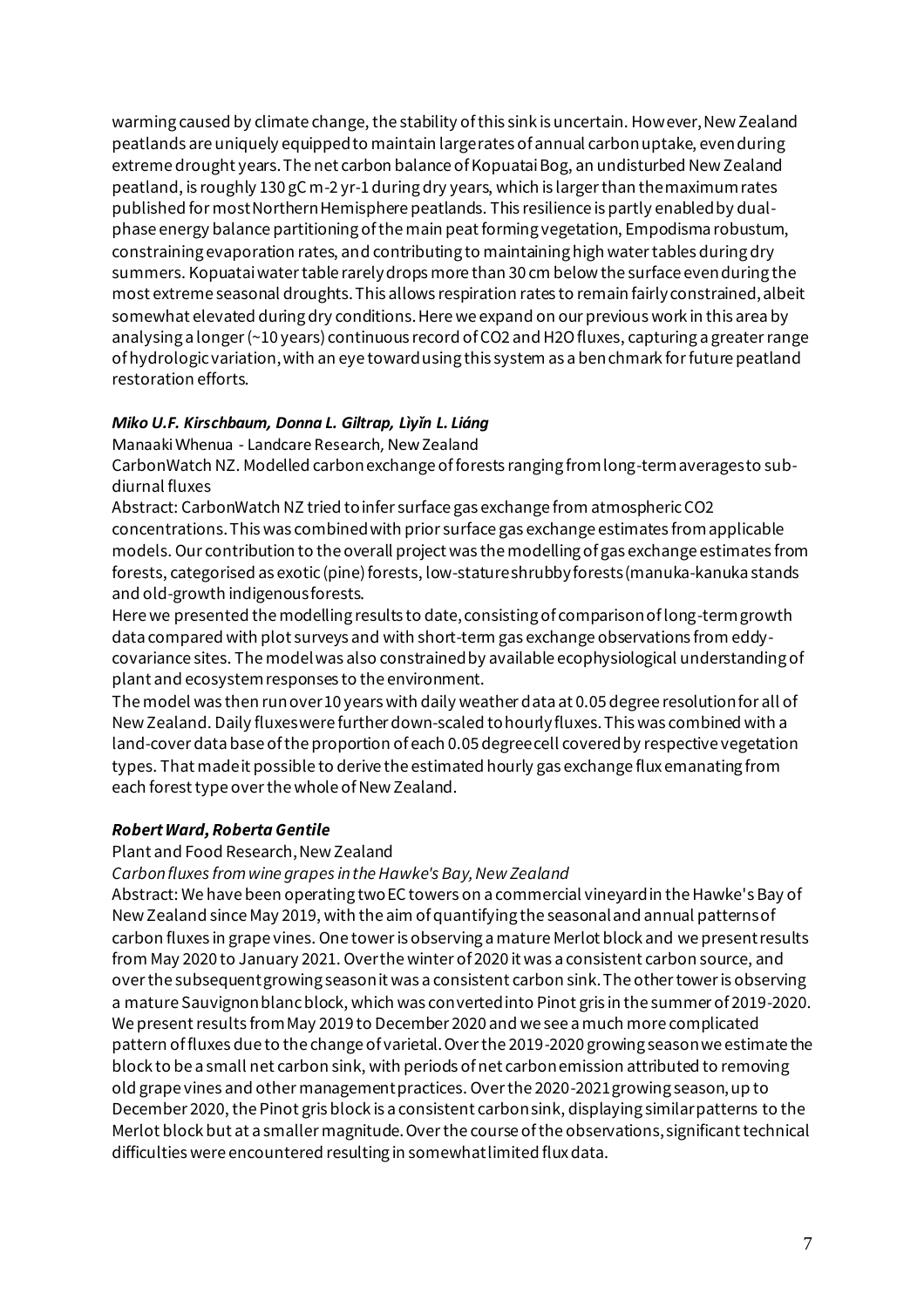warming caused by climate change, the stability of this sink is uncertain. However, New Zealand peatlands are uniquely equipped to maintain large rates of annual carbon uptake, even during extreme drought years. The net carbon balance of Kopuatai Bog, an undisturbed New Zealand peatland, is roughly 130 gC m-2 yr-1 during dry years, which is larger than the maximum rates published for most Northern Hemisphere peatlands. This resilience is partly enabled by dualphase energy balance partitioning of the main peat forming vegetation, Empodisma robustum, constraining evaporation rates, and contributing to maintaining high water tables during dry summers. Kopuatai water table rarely drops more than 30 cm below the surface even during the most extreme seasonal droughts. This allows respiration rates to remain fairly constrained, albeit somewhat elevated during dry conditions. Here we expand on our previous work in this area by analysing a longer (~10 years) continuous record of CO2 and H2O fluxes, capturing a greater range of hydrologic variation, with an eye toward using this system as a benchmark for future peatland restoration efforts.

#### *Miko U.F. Kirschbaum, Donna L. Giltrap, Lìyǐn L. Liáng*

Manaaki Whenua - Landcare Research, New Zealand

CarbonWatch NZ. Modelled carbon exchange of forests ranging from long-term averages to subdiurnal fluxes

Abstract: CarbonWatch NZ tried to infer surface gas exchange from atmospheric CO2 concentrations. This was combined with prior surface gas exchange estimates from applicable models. Our contribution to the overall project was the modelling of gas exchange estimates from forests, categorised as exotic (pine) forests, low-stature shrubby forests (manuka-kanuka stands and old-growth indigenous forests.

Here we presented the modelling results to date, consisting of comparison of long-term growth data compared with plot surveys and with short-term gas exchange observations from eddycovariance sites. The model was also constrained by available ecophysiological understanding of plant and ecosystem responses to the environment.

The model was then run over 10 years with daily weather data at 0.05 degree resolution for all of New Zealand. Daily fluxes were further down-scaled to hourly fluxes. This was combined with a land-cover data base of the proportion of each 0.05 degree cell covered by respective vegetation types. That made it possible to derive the estimated hourly gas exchange flux emanating from each forest type over the whole of New Zealand.

#### *Robert Ward, Roberta Gentile*

Plant and Food Research, New Zealand

*Carbon fluxes from wine grapes in the Hawke's Bay, New Zealand*

Abstract: We have been operating two EC towers on a commercial vineyard in the Hawke's Bay of New Zealand since May 2019, with the aim of quantifying the seasonal and annual patterns of carbon fluxes in grape vines. One tower is observing a mature Merlot block and we present results from May 2020 to January 2021. Over the winter of 2020 it was a consistent carbon source, and over the subsequent growing season it was a consistent carbon sink. The other tower is observing a mature Sauvignon blanc block, which was converted into Pinot gris in the summer of 2019-2020. We present results from May 2019 to December 2020 and we see a much more complicated pattern of fluxes due to the change of varietal. Over the 2019-2020 growing season we estimate the block to be a small net carbon sink, with periods of net carbon emission attributed to removing old grape vines and other management practices. Over the 2020-2021 growing season, up to December 2020, the Pinot gris block is a consistent carbon sink, displaying similar patterns to the Merlot block but at a smaller magnitude. Over the course of the observations, significant technical difficulties were encountered resulting in somewhat limited flux data.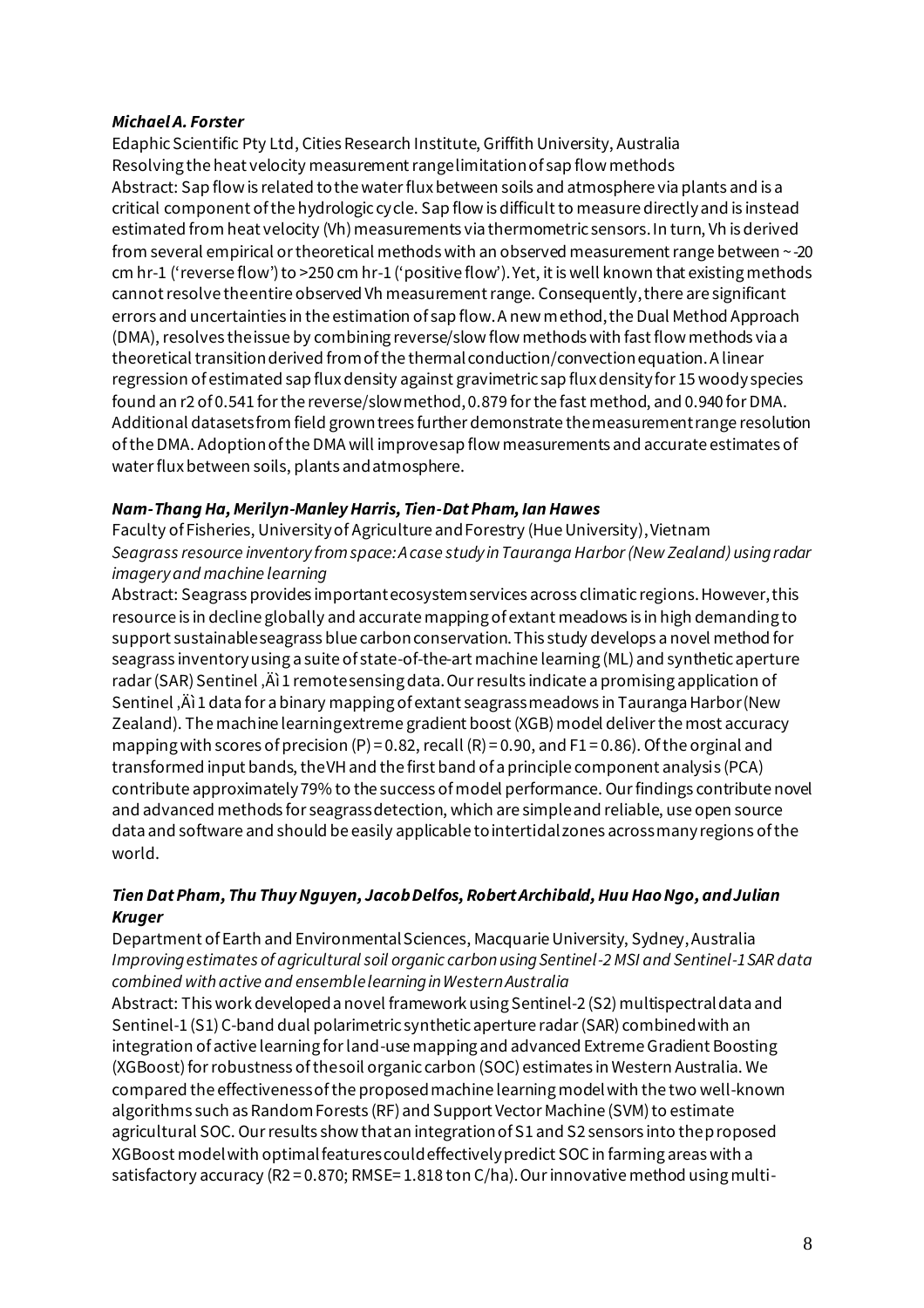#### *Michael A. Forster*

Edaphic Scientific Pty Ltd, Cities Research Institute, Griffith University, Australia Resolving the heat velocity measurement range limitation of sap flow methods Abstract: Sap flow is related to the water flux between soils and atmosphere via plants and is a critical component of the hydrologic cycle. Sap flow is difficult to measure directly and is instead estimated from heat velocity (Vh) measurements via thermometric sensors. In turn, Vh is derived from several empirical or theoretical methods with an observed measurement range between ~-20 cm hr-1 ('reverse flow') to >250 cm hr-1 ('positive flow'). Yet, it is well known that existing methods cannot resolve the entire observed Vh measurement range. Consequently, there are significant errors and uncertainties in the estimation of sap flow. A new method, the Dual Method Approach (DMA), resolves the issue by combining reverse/slow flow methods with fast flow methods via a theoretical transition derived from of the thermal conduction/convection equation. A linear regression of estimated sap flux density against gravimetric sap flux density for 15 woody species found an r2 of 0.541 for the reverse/slow method, 0.879 for the fast method, and 0.940 for DMA. Additional datasets from field grown trees further demonstrate the measurement range resolution of the DMA. Adoption of the DMA will improve sap flow measurements and accurate estimates of water flux between soils, plants and atmosphere.

#### *Nam-Thang Ha, Merilyn-Manley Harris, Tien-Dat Pham, Ian Hawes*

Faculty of Fisheries, University of Agriculture and Forestry (Hue University), Vietnam *Seagrass resource inventory from space: A case study in Tauranga Harbor (New Zealand) using radar imagery and machine learning*

Abstract: Seagrass provides important ecosystem services across climatic regions. However, this resource is in decline globally and accurate mapping of extant meadows is in high demanding to support sustainable seagrass blue carbon conservation. This study develops a novel method for seagrass inventory using a suite of state-of-the-art machine learning (ML) and synthetic aperture radar (SAR) Sentinel,  $\ddot{A}$  1 remote sensing data. Our results indicate a promising application of Sentinel,  $\ddot{A}$ ) 1 data for a binary mapping of extant seagrass meadows in Tauranga Harbor (New Zealand). The machine learning extreme gradient boost (XGB) model deliver the most accuracy mapping with scores of precision  $(P) = 0.82$ , recall  $(R) = 0.90$ , and  $F1 = 0.86$ ). Of the orginal and transformed input bands, the VH and the first band of a principle component analysis (PCA) contribute approximately 79% to the success of model performance. Our findings contribute novel and advanced methods for seagrass detection, which are simple and reliable, use open source data and software and should be easily applicable to intertidal zones across many regions of the world.

#### *Tien Dat Pham, Thu Thuy Nguyen, Jacob Delfos, Robert Archibald, Huu Hao Ngo, and Julian Kruger*

Department of Earth and Environmental Sciences, Macquarie University, Sydney, Australia *Improving estimates of agricultural soil organic carbon using Sentinel-2 MSI and Sentinel-1 SAR data combined with active and ensemble learning in Western Australia*

Abstract: This work developed a novel framework using Sentinel-2 (S2) multispectral data and Sentinel-1 (S1) C-band dual polarimetric synthetic aperture radar (SAR) combined with an integration of active learning for land-use mapping and advanced Extreme Gradient Boosting (XGBoost) for robustness of the soil organic carbon (SOC) estimates in Western Australia. We compared the effectiveness of the proposed machine learning model with the two well-known algorithms such as Random Forests (RF) and Support Vector Machine (SVM) to estimate agricultural SOC. Our results show that an integration of S1 and S2 sensors into the proposed XGBoost model with optimal features could effectively predict SOC in farming areas with a satisfactory accuracy (R2 = 0.870; RMSE= 1.818 ton C/ha). Our innovative method using multi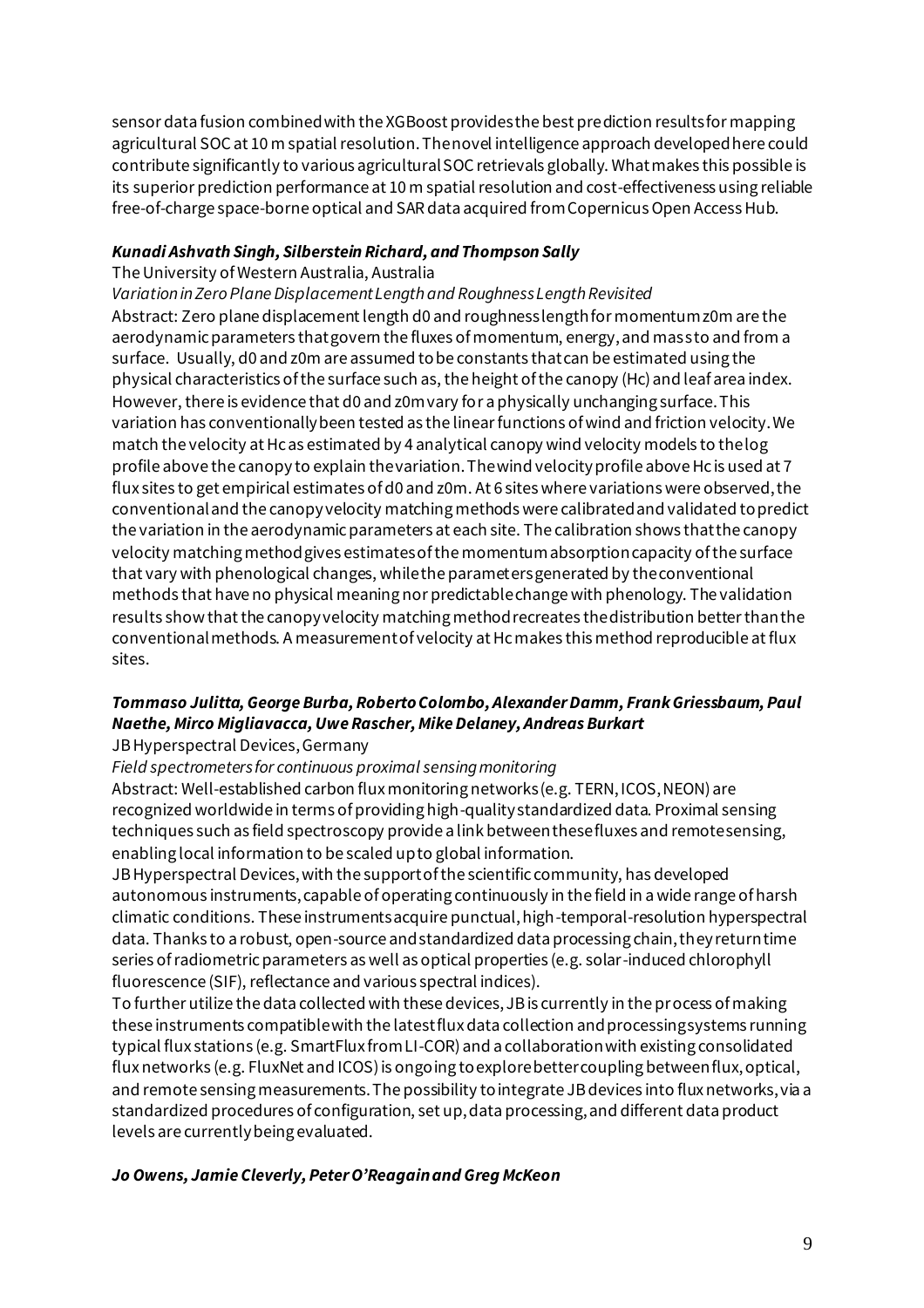sensor data fusion combined with the XGBoost provides the best prediction results for mapping agricultural SOC at 10 m spatial resolution. The novel intelligence approach developed here could contribute significantly to various agricultural SOC retrievals globally. What makes this possible is its superior prediction performance at 10 m spatial resolution and cost-effectiveness using reliable free-of-charge space-borne optical and SAR data acquired from Copernicus Open Access Hub.

#### *Kunadi Ashvath Singh, Silberstein Richard, and Thompson Sally*

#### The University of Western Australia, Australia

*Variation in Zero Plane Displacement Length and Roughness Length Revisited*

Abstract: Zero plane displacement length d0 and roughness length for momentum z0m are the aerodynamic parameters that govern the fluxes of momentum, energy, and mass to and from a surface. Usually, d0 and z0m are assumed to be constants that can be estimated using the physical characteristics of the surface such as, the height of the canopy (Hc) and leaf area index. However, there is evidence that d0 and z0m vary for a physically unchanging surface. This variation has conventionally been tested as the linear functions of wind and friction velocity. We match the velocity at Hc as estimated by 4 analytical canopy wind velocity models to the log profile above the canopy to explain the variation. The wind velocity profile above Hc is used at 7 flux sites to get empirical estimates of d0 and z0m. At 6 sites where variations were observed, the conventional and the canopy velocity matching methods were calibrated and validated to predict the variation in the aerodynamic parameters at each site. The calibration shows that the canopy velocity matching method gives estimates of the momentum absorption capacity of the surface that vary with phenological changes, while the parameters generated by the conventional methods that have no physical meaning nor predictable change with phenology. The validation results show that the canopy velocity matching method recreates the distribution better than the conventional methods. A measurement of velocity at Hc makes this method reproducible at flux sites.

#### *Tommaso Julitta, George Burba, Roberto Colombo, Alexander Damm, Frank Griessbaum, Paul Naethe, Mirco Migliavacca, Uwe Rascher, Mike Delaney, Andreas Burkart*

#### JB Hyperspectral Devices, Germany

*Field spectrometers for continuous proximal sensing monitoring*

Abstract: Well-established carbon flux monitoring networks (e.g. TERN, ICOS, NEON) are recognized worldwide in terms of providing high-quality standardized data. Proximal sensing techniques such as field spectroscopy provide a link between these fluxes and remote sensing, enabling local information to be scaled up to global information.

JB Hyperspectral Devices, with the support of the scientific community, has developed autonomous instruments, capable of operating continuously in the field in a wide range of harsh climatic conditions. These instruments acquire punctual, high-temporal-resolution hyperspectral data. Thanks to a robust, open-source and standardized data processing chain, they return time series of radiometric parameters as well as optical properties (e.g. solar-induced chlorophyll fluorescence (SIF), reflectance and various spectral indices).

To further utilize the data collected with these devices, JB is currently in the process of making these instruments compatible with the latest flux data collection and processing systems running typical flux stations (e.g. SmartFlux from LI-COR) and a collaboration with existing consolidated flux networks (e.g. FluxNet and ICOS) is ongoing to explore better coupling between flux, optical, and remote sensing measurements. The possibility to integrate JB devices into flux networks, via a standardized procedures of configuration, set up, data processing, and different data product levels are currently being evaluated.

#### *Jo Owens, Jamie Cleverly, Peter O'Reagain and Greg McKeon*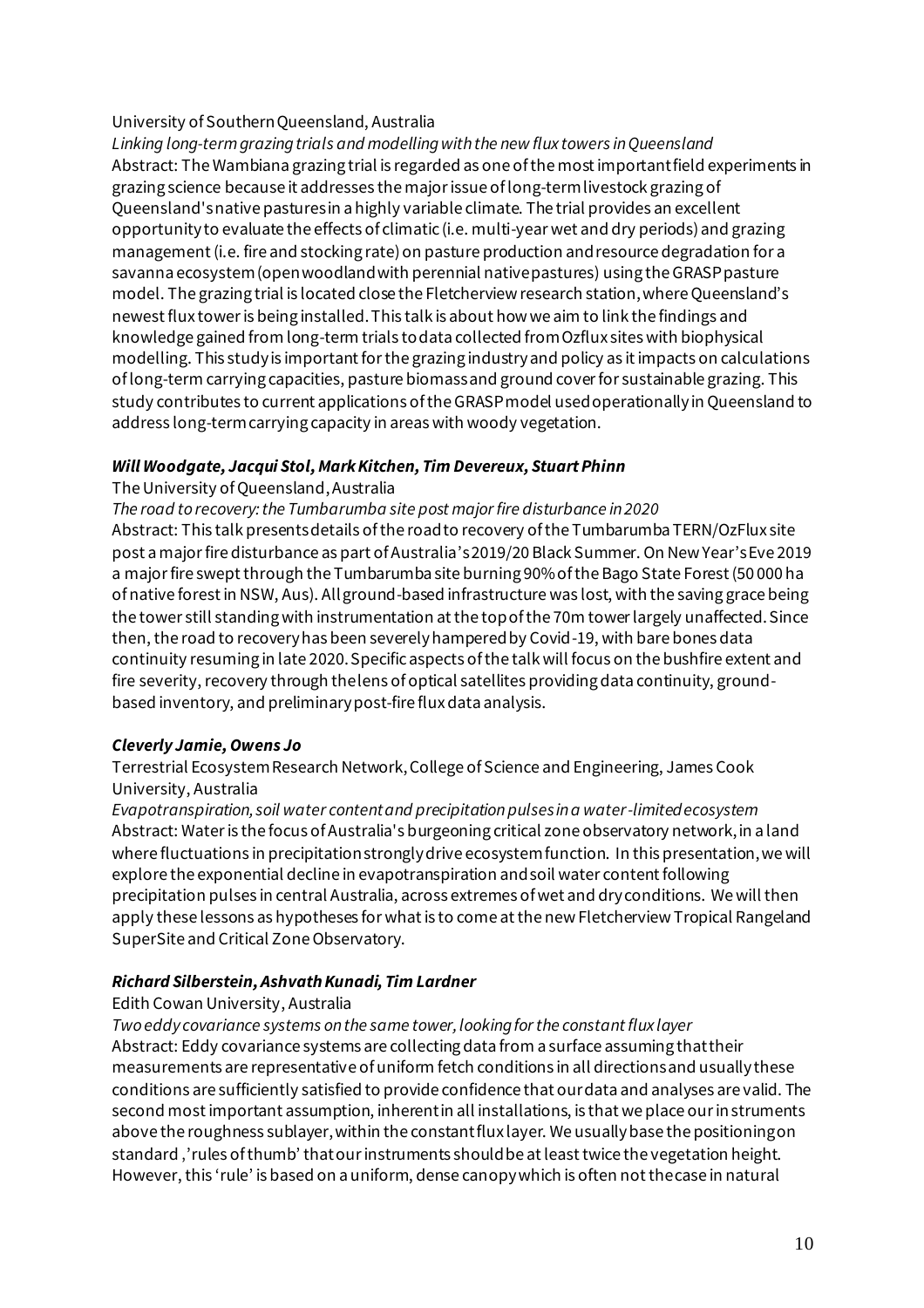#### University of Southern Queensland, Australia

*Linking long-term grazing trials and modelling with the new flux towers in Queensland* Abstract: The Wambiana grazing trial is regarded as one of the most important field experiments in grazing science because it addresses the major issue of long-term livestock grazing of Queensland's native pastures in a highly variable climate. The trial provides an excellent opportunity to evaluate the effects of climatic (i.e. multi-year wet and dry periods) and grazing management (i.e. fire and stocking rate) on pasture production and resource degradation for a savanna ecosystem (open woodland with perennial native pastures) using the GRASP pasture model. The grazing trial is located close the Fletcherview research station, where Queensland's newest flux tower is being installed. This talk is about how we aim to link the findings and knowledge gained from long-term trials to data collected from Ozflux sites with biophysical modelling. This study is important for the grazing industry and policy as it impacts on calculations of long-term carrying capacities, pasture biomass and ground cover for sustainable grazing. This study contributes to current applications of the GRASP model used operationally in Queensland to address long-term carrying capacity in areas with woody vegetation.

#### *Will Woodgate, Jacqui Stol, Mark Kitchen, Tim Devereux, Stuart Phinn*

#### The University of Queensland, Australia

*The road to recovery: the Tumbarumba site post major fire disturbance in 2020*

Abstract: This talk presents details of the road to recovery of the Tumbarumba TERN/OzFlux site post a major fire disturbance as part of Australia's 2019/20 Black Summer. On New Year's Eve 2019 a major fire swept through the Tumbarumba site burning 90% of the Bago State Forest (50 000 ha of native forest in NSW, Aus). All ground-based infrastructure was lost, with the saving grace being the tower still standing with instrumentation at the top of the 70m tower largely unaffected. Since then, the road to recovery has been severely hampered by Covid-19, with bare bones data continuity resuming in late 2020. Specific aspects of the talk will focus on the bushfire extent and fire severity, recovery through the lens of optical satellites providing data continuity, groundbased inventory, and preliminary post-fire flux data analysis.

#### *Cleverly Jamie, Owens Jo*

Terrestrial Ecosystem Research Network, College of Science and Engineering, James Cook University, Australia

*Evapotranspiration, soil water content and precipitation pulses in a water-limited ecosystem* Abstract: Water is the focus of Australia's burgeoning critical zone observatory network, in a land where fluctuations in precipitation strongly drive ecosystem function. In this presentation, we will explore the exponential decline in evapotranspiration and soil water content following precipitation pulses in central Australia, across extremes of wet and dry conditions. We will then apply these lessons as hypotheses for what is to come at the new Fletcherview Tropical Rangeland SuperSite and Critical Zone Observatory.

#### *Richard Silberstein, Ashvath Kunadi, Tim Lardner*

#### Edith Cowan University, Australia

*Two eddy covariance systems on the same tower, looking for the constant flux layer* Abstract: Eddy covariance systems are collecting data from a surface assuming that their measurements are representative of uniform fetch conditions in all directions and usually these conditions are sufficiently satisfied to provide confidence that our data and analyses are valid. The second most important assumption, inherent in all installations, is that we place our in struments above the roughness sublayer, within the constant flux layer. We usually base the positioning on standard, 'rules of thumb' that our instruments should be at least twice the vegetation height. However, this 'rule' is based on a uniform, dense canopy which is often not the case in natural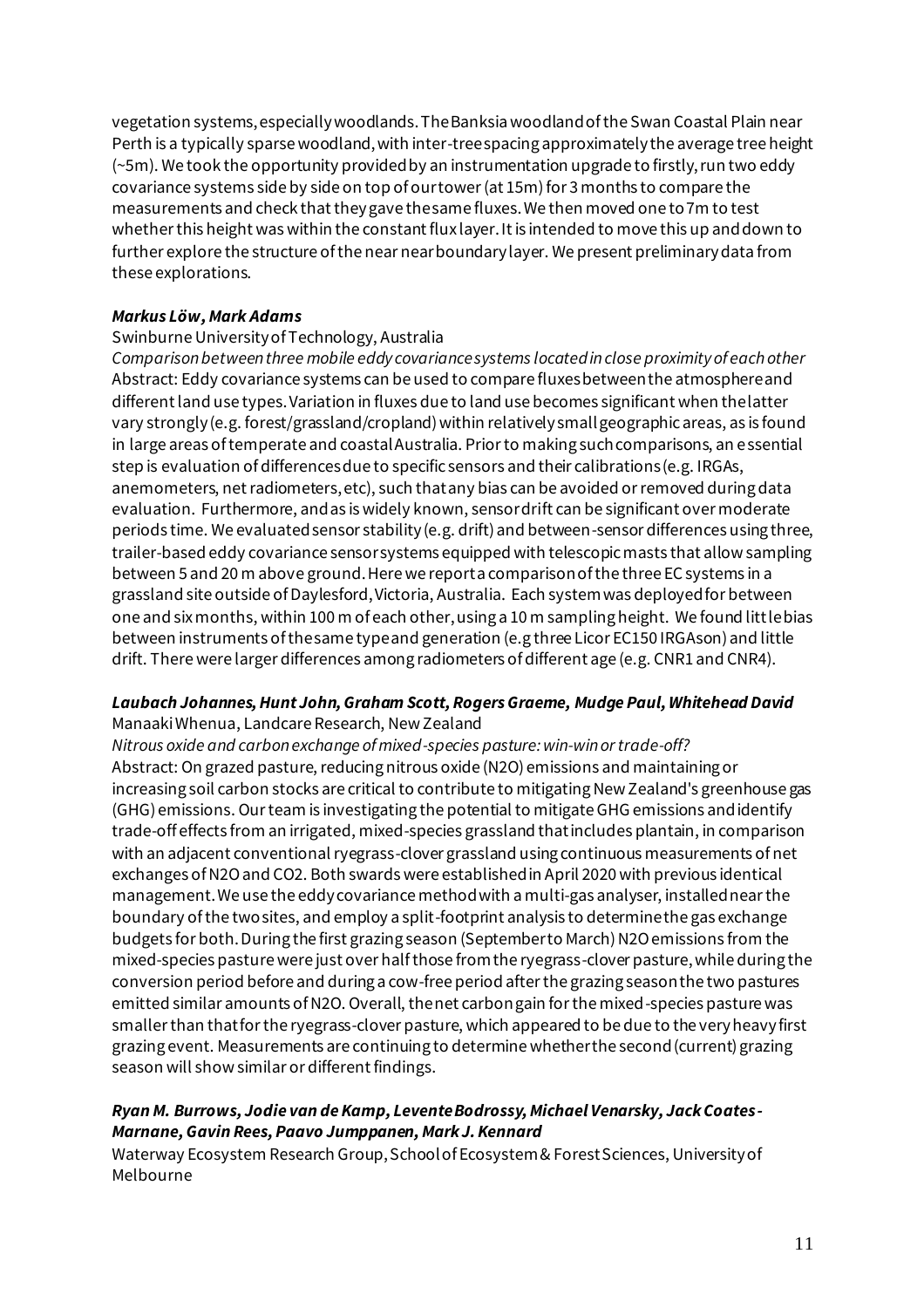vegetation systems, especially woodlands. The Banksia woodland of the Swan Coastal Plain near Perth is a typically sparse woodland, with inter-tree spacing approximately the average tree height (~5m). We took the opportunity provided by an instrumentation upgrade to firstly, run two eddy covariance systems side by side on top of our tower (at 15m) for 3 months to compare the measurements and check that they gave the same fluxes. We then moved one to 7m to test whether this height was within the constant flux layer. It is intended to move this up and down to further explore the structure of the near near boundary layer. We present preliminary data from these explorations.

#### *Markus Löw, Mark Adams*

#### Swinburne University of Technology, Australia

*Comparison between three mobile eddy covariance systems located in close proximity of each other* Abstract: Eddy covariance systems can be used to compare fluxes between the atmosphere and different land use types. Variation in fluxes due to land use becomes significant when the latter vary strongly (e.g. forest/grassland/cropland) within relatively small geographic areas, as is found in large areas of temperate and coastal Australia. Prior to making such comparisons, an essential step is evaluation of differences due to specific sensors and their calibrations (e.g. IRGAs, anemometers, net radiometers, etc), such that any bias can be avoided or removed during data evaluation. Furthermore, and as is widely known, sensor drift can be significant over moderate periods time. We evaluated sensor stability (e.g. drift) and between-sensor differences using three, trailer-based eddy covariance sensor systems equipped with telescopic masts that allow sampling between 5 and 20 m above ground. Here we report a comparison of the three EC systems in a grassland site outside of Daylesford, Victoria, Australia. Each system was deployed for between one and six months, within 100 m of each other, using a 10 m sampling height. We found little bias between instruments of the same type and generation (e.g three Licor EC150 IRGAson) and little drift. There were larger differences among radiometers of different age (e.g. CNR1 and CNR4).

#### *Laubach Johannes, Hunt John, Graham Scott, Rogers Graeme, Mudge Paul, Whitehead David*

Manaaki Whenua, Landcare Research, New Zealand

*Nitrous oxide and carbon exchange of mixed-species pasture: win-win or trade-off?* Abstract: On grazed pasture, reducing nitrous oxide (N2O) emissions and maintaining or increasing soil carbon stocks are critical to contribute to mitigating New Zealand's greenhouse gas (GHG) emissions. Our team is investigating the potential to mitigate GHG emissions and identify trade-off effects from an irrigated, mixed-species grassland that includes plantain, in comparison with an adjacent conventional ryegrass-clover grassland using continuous measurements of net exchanges of N2O and CO2. Both swards were established in April 2020 with previous identical management. We use the eddy covariance method with a multi-gas analyser, installed near the boundary of the two sites, and employ a split-footprint analysis to determine the gas exchange budgets for both. During the first grazing season (September to March) N2O emissions from the mixed-species pasture were just over half those from the ryegrass-clover pasture, while during the conversion period before and during a cow-free period after the grazing season the two pastures emitted similar amounts of N2O. Overall, the net carbon gain for the mixed-species pasture was smaller than that for the ryegrass-clover pasture, which appeared to be due to the very heavy first grazing event. Measurements are continuing to determine whether the second (current) grazing season will show similar or different findings.

#### *Ryan M. Burrows, Jodie van de Kamp, Levente Bodrossy, Michael Venarsky, Jack Coates-Marnane, Gavin Rees, Paavo Jumppanen, Mark J. Kennard*

Waterway Ecosystem Research Group, School of Ecosystem & Forest Sciences, University of Melbourne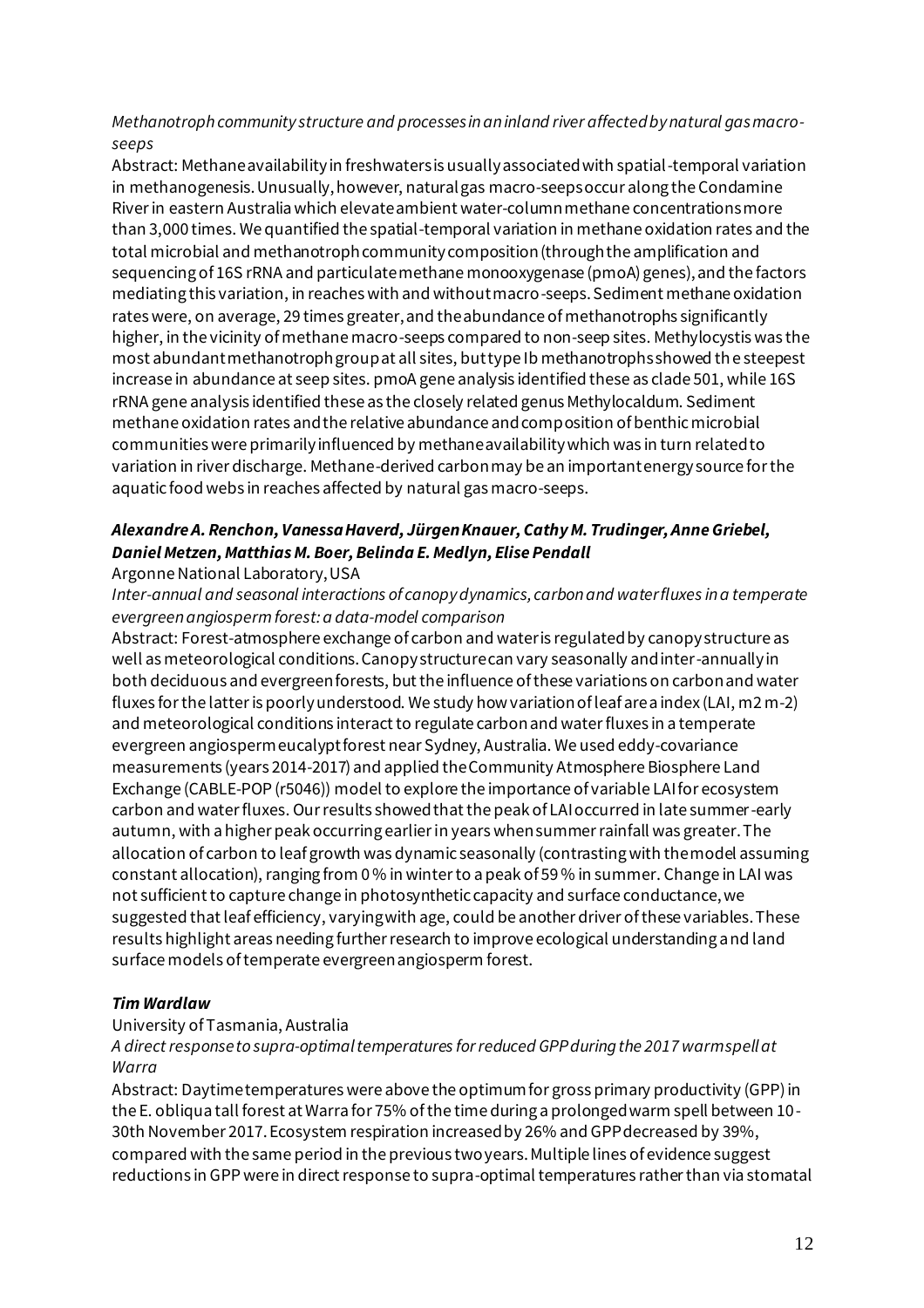#### *Methanotroph community structure and processes in an inland river affected by natural gas macroseeps*

Abstract: Methane availability in freshwaters is usually associated with spatial-temporal variation in methanogenesis. Unusually, however, natural gas macro-seeps occur along the Condamine River in eastern Australia which elevate ambient water-column methane concentrations more than 3,000 times. We quantified the spatial-temporal variation in methane oxidation rates and the total microbial and methanotroph community composition (through the amplification and sequencing of 16S rRNA and particulate methane monooxygenase (pmoA) genes), and the factors mediating this variation, in reaches with and without macro-seeps. Sediment methane oxidation rates were, on average, 29 times greater, and the abundance of methanotrophs significantly higher, in the vicinity of methane macro-seeps compared to non-seep sites. Methylocystis was the most abundant methanotroph group at all sites, but type Ib methanotrophs showed the steepest increase in abundance at seep sites. pmoA gene analysis identified these as clade 501, while 16S rRNA gene analysis identified these as the closely related genus Methylocaldum. Sediment methane oxidation rates and the relative abundance and composition of benthic microbial communities were primarily influenced by methane availability which was in turn related to variation in river discharge. Methane-derived carbon may be an important energy source for the aquatic food webs in reaches affected by natural gas macro-seeps.

#### *Alexandre A. Renchon, Vanessa Haverd, Jürgen Knauer, Cathy M. Trudinger, Anne Griebel, Daniel Metzen, Matthias M. Boer, Belinda E. Medlyn, Elise Pendall*

#### Argonne National Laboratory, USA

*Inter-annual and seasonal interactions of canopy dynamics, carbon and water fluxes in a temperate evergreen angiosperm forest: a data-model comparison*

Abstract: Forest-atmosphere exchange of carbon and water is regulated by canopy structure as well as meteorological conditions. Canopy structure can vary seasonally and inter-annually in both deciduous and evergreen forests, but the influence of these variations on carbon and water fluxes for the latter is poorly understood. We study how variation of leaf area index (LAI, m2 m-2) and meteorological conditions interact to regulate carbon and water fluxes in a temperate evergreen angiosperm eucalypt forest near Sydney, Australia. We used eddy-covariance measurements (years 2014-2017) and applied the Community Atmosphere Biosphere Land Exchange (CABLE-POP (r5046)) model to explore the importance of variable LAI for ecosystem carbon and water fluxes. Our results showed that the peak of LAI occurred in late summer-early autumn, with a higher peak occurring earlier in years when summer rainfall was greater. The allocation of carbon to leaf growth was dynamic seasonally (contrasting with the model assuming constant allocation), ranging from 0 % in winter to a peak of 59 % in summer. Change in LAI was not sufficient to capture change in photosynthetic capacity and surface conductance, we suggested that leaf efficiency, varying with age, could be another driver of these variables. These results highlight areas needing further research to improve ecological understanding and land surface models of temperate evergreen angiosperm forest.

#### *Tim Wardlaw*

#### University of Tasmania, Australia

#### *A direct response to supra-optimal temperatures for reduced GPP during the 2017 warm spell at Warra*

Abstract: Daytime temperatures were above the optimum for gross primary productivity (GPP) in the E. obliqua tall forest at Warra for 75% of the time during a prolonged warm spell between 10- 30th November 2017. Ecosystem respiration increased by 26% and GPP decreased by 39%, compared with the same period in the previous two years. Multiple lines of evidence suggest reductions in GPP were in direct response to supra-optimal temperatures rather than via stomatal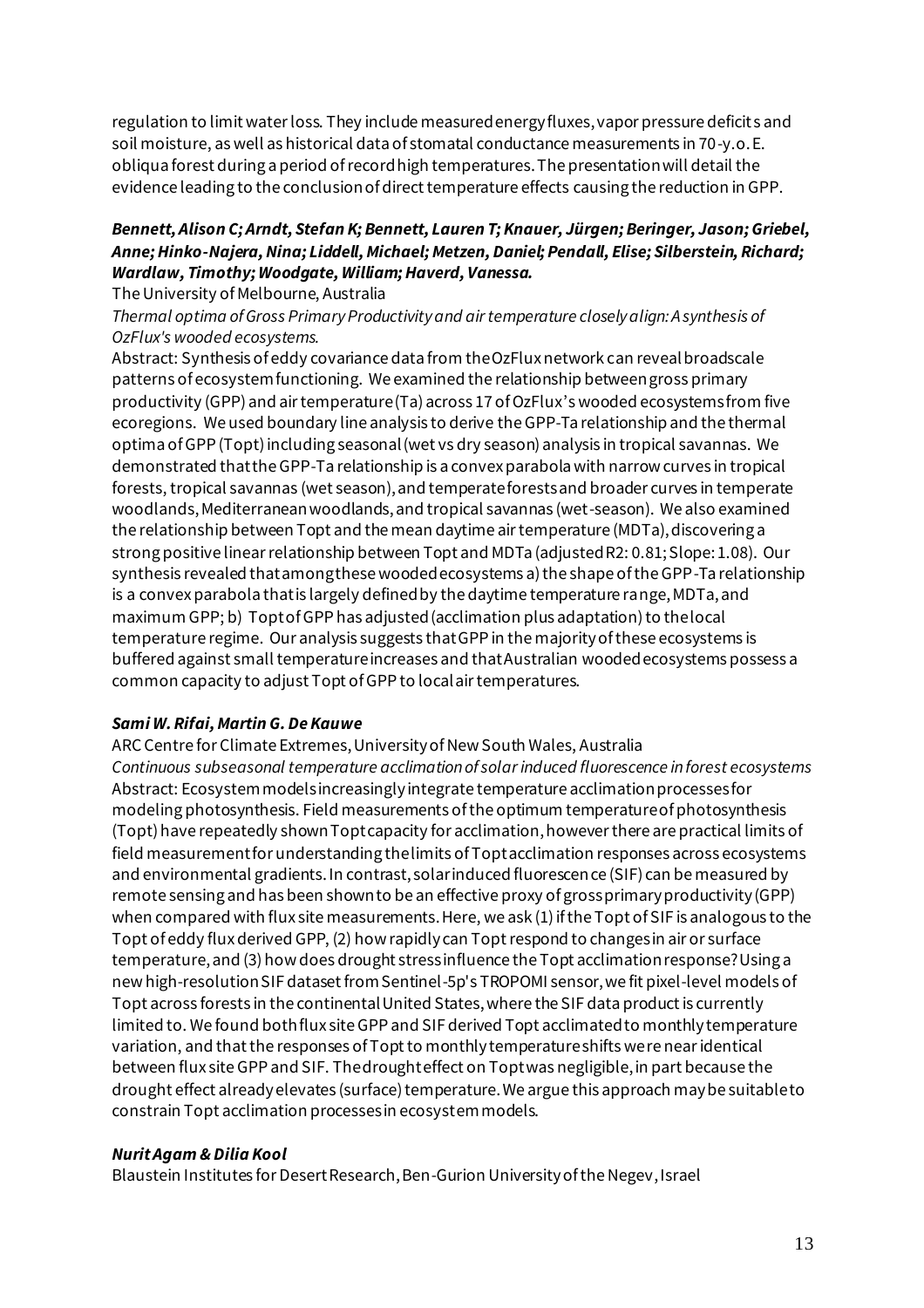regulation to limit water loss. They include measured energy fluxes, vapor pressure deficit s and soil moisture, as well as historical data of stomatal conductance measurements in 70-y.o. E. obliqua forest during a period of record high temperatures. The presentation will detail the evidence leading to the conclusion of direct temperature effects causing the reduction in GPP.

#### *Bennett, Alison C; Arndt, Stefan K; Bennett, Lauren T; Knauer, Jürgen; Beringer, Jason; Griebel, Anne; Hinko-Najera, Nina; Liddell, Michael; Metzen, Daniel; Pendall, Elise; Silberstein, Richard; Wardlaw, Timothy; Woodgate, William; Haverd, Vanessa.*

The University of Melbourne, Australia

*Thermal optima of Gross Primary Productivity and air temperature closely align: A synthesis of OzFlux's wooded ecosystems.*

Abstract: Synthesis of eddy covariance data from the OzFlux network can reveal broadscale patterns of ecosystem functioning. We examined the relationship between gross primary productivity (GPP) and air temperature (Ta) across 17 of OzFlux's wooded ecosystems from five ecoregions. We used boundary line analysis to derive the GPP-Ta relationship and the thermal optima of GPP (Topt) including seasonal (wet vs dry season) analysis in tropical savannas. We demonstrated that the GPP-Ta relationship is a convex parabola with narrow curves in tropical forests, tropical savannas (wet season), and temperate forests and broader curves in temperate woodlands, Mediterranean woodlands, and tropical savannas (wet-season). We also examined the relationship between Topt and the mean daytime air temperature (MDTa), discovering a strong positive linear relationship between Topt and MDTa (adjusted R2: 0.81; Slope: 1.08). Our synthesis revealed that among these wooded ecosystems a) the shape of the GPP-Ta relationship is a convex parabola that is largely defined by the daytime temperature range, MDTa, and maximum GPP; b) Topt of GPP has adjusted (acclimation plus adaptation) to the local temperature regime. Our analysis suggests that GPP in the majority of these ecosystems is buffered against small temperature increases and that Australian wooded ecosystems possess a common capacity to adjust Topt of GPP to local air temperatures.

#### *Sami W. Rifai, Martin G. De Kauwe*

ARC Centre for Climate Extremes, University of New South Wales, Australia *Continuous subseasonal temperature acclimation of solar induced fluorescence in forest ecosystems* Abstract: Ecosystem models increasingly integrate temperature acclimation processes for modeling photosynthesis. Field measurements of the optimum temperature of photosynthesis (Topt) have repeatedly shown Topt capacity for acclimation, however there are practical limits of field measurement for understanding the limits of Topt acclimation responses across ecosystems and environmental gradients. In contrast, solar induced fluorescence (SIF) can be measured by remote sensing and has been shown to be an effective proxy of gross primary productivity (GPP) when compared with flux site measurements. Here, we ask (1) if the Topt of SIF is analogous to the Topt of eddy flux derived GPP, (2) how rapidly can Topt respond to changes in air or surface temperature, and (3) how does drought stress influence the Topt acclimation response? Using a new high-resolution SIF dataset from Sentinel-5p's TROPOMI sensor, we fit pixel-level models of Topt across forests in the continental United States, where the SIF data product is currently limited to. We found both flux site GPP and SIF derived Topt acclimated to monthly temperature variation, and that the responses of Topt to monthly temperature shifts were near identical between flux site GPP and SIF. The drought effect on Topt was negligible, in part because the drought effect already elevates (surface) temperature. We argue this approach may be suitable to constrain Topt acclimation processes in ecosystem models.

#### *Nurit Agam & Dilia Kool*

Blaustein Institutes for Desert Research, Ben-Gurion University of the Negev, Israel